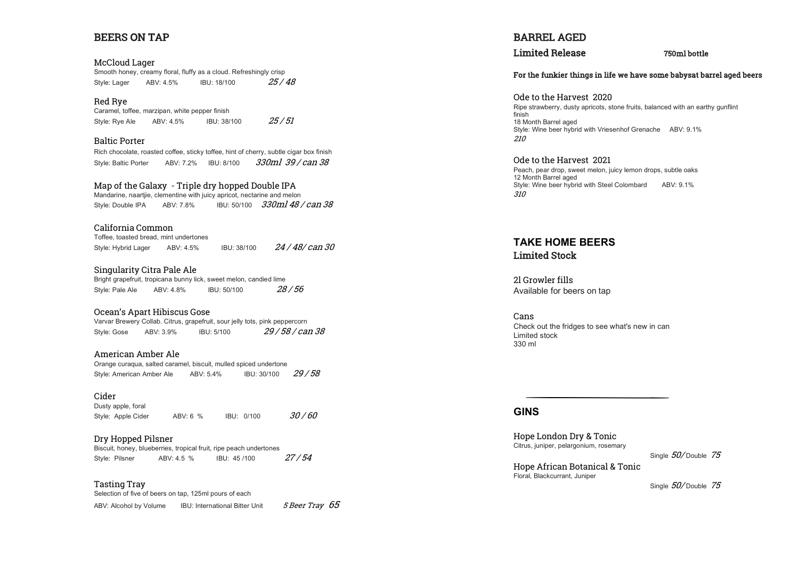#### BEERS ON TAP

McCloud Lager Smooth honey, creamy floral, fluffy as a cloud. Refreshingly crisp Style: Lager ABV: 4.5% IBU: 18/100 25 / 48

Red Rye Caramel, toffee, marzipan, white pepper finish Style: Rye Ale ABV: 4.5% IBU: 38/100  $25/51$ 

Baltic Porter Rich chocolate, roasted coffee, sticky toffee, hint of cherry, subtle cigar box finish Style: Baltic Porter ABV: 7.2% IBU: 8/100 330ml 39 / can 38

Map of the Galaxy - Triple dry hopped Double IPA Mandarine, naartjie, clementine with juicy apricot, nectarine and melon Style: Double IPA ABV: 7.8% IBU: 50/100 330ml 48 / can 38

California Common Toffee, toasted bread, mint undertones Style: Hybrid Lager ABV: 4.5% IBU: 38/100  $24/48/c$ an 30

Singularity Citra Pale Ale Bright grapefruit, tropicana bunny lick, sweet melon, candied lime Style: Pale Ale ABV: 4.8% IBU: 50/100 28 / 56

Ocean's Apart Hibiscus Gose Varvar Brewery Collab. Citrus, grapefruit, sour jelly tots, pink peppercorn Style: Gose ABV: 3.9% IBU: 5/100 29 / 58 / can 38

American Amber Ale Orange curaqua, salted caramel, biscuit, mulled spiced undertone Style: American Amber Ale ABV: 5.4% IBU: 30/100 29/58

Cider Dusty apple, foral Style: Apple Cider (ABV: 6 % IBU: 0/100 30 / 60

Dry Hopped Pilsner Biscuit, honey, blueberries, tropical fruit, ripe peach undertones Style: Pilsner ABV: 4.5 % IBU: 45 /100 27 / 54

Tasting Tray Selection of five of beers on tap, 125ml pours of each

ABV: Alcohol by Volume IBU: International Bitter Unit  $5$  Beer Tray  $65$ 

BARREL AGED

Limited Release 750ml bottle

For the funkier things in life we have some babysat barrel aged beers

Ode to the Harvest 2020 Ripe strawberry, dusty apricots, stone fruits, balanced with an earthy gunflint finish 18 Month Barrel aged Style: Wine beer hybrid with Vriesenhof Grenache ABV: 9.1% 210

Ode to the Harvest 2021 Peach, pear drop, sweet melon, juicy lemon drops, subtle oaks 12 Month Barrel aged Style: Wine beer hybrid with Steel Colombard ABV: 9.1% 310

### **TAKE HOME BEERS**  Limited Stock

2l Growler fills Available for beers on tap

Cans Check out the fridges to see what's new in can Limited stock 330 ml

#### **GINS**

Hope London Dry & Tonic Citrus, juniper, pelargonium, rosemary

Single  $50/$  Double 75

Hope African Botanical & Tonic Floral, Blackcurrant, Juniper

Single  $50/$  Double 75